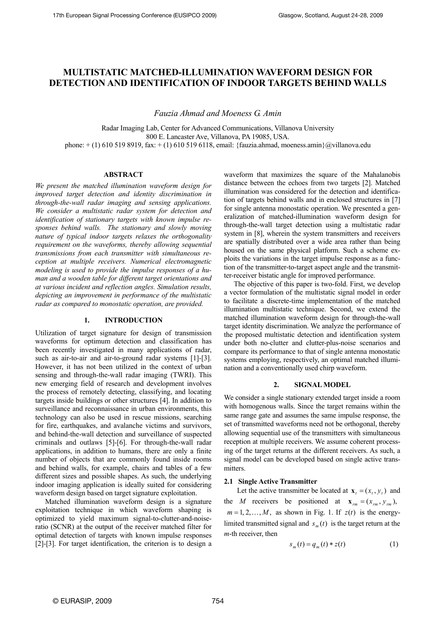# **MULTISTATIC MATCHED-ILLUMINATION WAVEFORM DESIGN FOR DETECTION AND IDENTIFICATION OF INDOOR TARGETS BEHIND WALLS**

*Fauzia Ahmad and Moeness G. Amin* 

Radar Imaging Lab, Center for Advanced Communications, Villanova University 800 E. Lancaster Ave, Villanova, PA 19085, USA. phone:  $+ (1)$  610 519 8919, fax:  $+ (1)$  610 519 6118, email: {fauzia.ahmad, moeness.amin}@villanova.edu

## **ABSTRACT**

*We present the matched illumination waveform design for improved target detection and identity discrimination in through-the-wall radar imaging and sensing applications. We consider a multistatic radar system for detection and identification of stationary targets with known impulse responses behind walls. The stationary and slowly moving nature of typical indoor targets relaxes the orthogonality requirement on the waveforms, thereby allowing sequential transmissions from each transmitter with simultaneous reception at multiple receivers. Numerical electromagnetic modeling is used to provide the impulse responses of a human and a wooden table for different target orientations and at various incident and reflection angles. Simulation results, depicting an improvement in performance of the multistatic radar as compared to monostatic operation, are provided.* 

# **1. INTRODUCTION**

Utilization of target signature for design of transmission waveforms for optimum detection and classification has been recently investigated in many applications of radar, such as air-to-air and air-to-ground radar systems [1]-[3]. However, it has not been utilized in the context of urban sensing and through-the-wall radar imaging (TWRI). This new emerging field of research and development involves the process of remotely detecting, classifying, and locating targets inside buildings or other structures [4]. In addition to surveillance and reconnaissance in urban environments, this technology can also be used in rescue missions, searching for fire, earthquakes, and avalanche victims and survivors, and behind-the-wall detection and surveillance of suspected criminals and outlaws [5]-[6]. For through-the-wall radar applications, in addition to humans, there are only a finite number of objects that are commonly found inside rooms and behind walls, for example, chairs and tables of a few different sizes and possible shapes. As such, the underlying indoor imaging application is ideally suited for considering waveform design based on target signature exploitation.

Matched illumination waveform design is a signature exploitation technique in which waveform shaping is optimized to yield maximum signal-to-clutter-and-noiseratio (SCNR) at the output of the receiver matched filter for optimal detection of targets with known impulse responses [2]-[3]. For target identification, the criterion is to design a

waveform that maximizes the square of the Mahalanobis distance between the echoes from two targets [2]. Matched illumination was considered for the detection and identification of targets behind walls and in enclosed structures in [7] for single antenna monostatic operation. We presented a generalization of matched-illumination waveform design for through-the-wall target detection using a multistatic radar system in [8], wherein the system transmitters and receivers are spatially distributed over a wide area rather than being housed on the same physical platform. Such a scheme exploits the variations in the target impulse response as a function of the transmitter-to-target aspect angle and the transmitter-receiver bistatic angle for improved performance.

The objective of this paper is two-fold. First, we develop a vector formulation of the multistatic signal model in order to facilitate a discrete-time implementation of the matched illumination multistatic technique. Second, we extend the matched illumination waveform design for through-the-wall target identity discrimination. We analyze the performance of the proposed multistatic detection and identification system under both no-clutter and clutter-plus-noise scenarios and compare its performance to that of single antenna monostatic systems employing, respectively, an optimal matched illumination and a conventionally used chirp waveform.

# **2. SIGNAL MODEL**

We consider a single stationary extended target inside a room with homogenous walls. Since the target remains within the same range gate and assumes the same impulse response, the set of transmitted waveforms need not be orthogonal, thereby allowing sequential use of the transmitters with simultaneous reception at multiple receivers. We assume coherent processing of the target returns at the different receivers. As such, a signal model can be developed based on single active transmitters.

#### **2.1 Single Active Transmitter**

Let the active transmitter be located at  $\mathbf{x}_t = (x_t, y_t)$  and the *M* receivers be positioned at  $\mathbf{x}_{rm} = (x_{rm}, y_{rm})$ ,  $m = 1, 2, \dots, M$ , as shown in Fig. 1. If  $z(t)$  is the energylimited transmitted signal and  $s_m(t)$  is the target return at the *m*-th receiver, then

$$
s_m(t) = q_m(t) * z(t)
$$
 (1)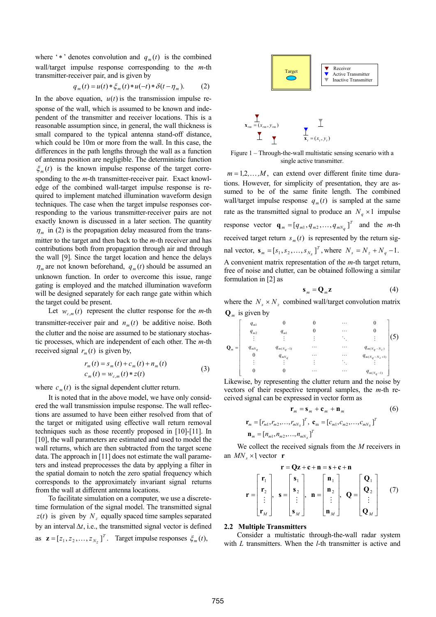where '\*' denotes convolution and  $q_m(t)$  is the combined wall/target impulse response corresponding to the *m*-th transmitter-receiver pair, and is given by

$$
q_m(t) = u(t) * \xi_m(t) * u(-t) * \delta(t - \eta_m). \tag{2}
$$

In the above equation,  $u(t)$  is the transmission impulse response of the wall, which is assumed to be known and independent of the transmitter and receiver locations. This is a reasonable assumption since, in general, the wall thickness is small compared to the typical antenna stand-off distance, which could be 10m or more from the wall. In this case, the differences in the path lengths through the wall as a function of antenna position are negligible. The deterministic function  $\xi_m(t)$  is the known impulse response of the target corresponding to the *m*-th transmitter-receiver pair. Exact knowledge of the combined wall-target impulse response is required to implement matched illumination waveform design techniques. The case when the target impulse responses corresponding to the various transmitter-receiver pairs are not exactly known is discussed in a later section. The quantity  $\eta_m$  in (2) is the propagation delay measured from the transmitter to the target and then back to the *m*-th receiver and has contributions both from propagation through air and through the wall [9]. Since the target location and hence the delays  $\eta_m$  are not known beforehand,  $q_m(t)$  should be assumed an unknown function. In order to overcome this issue, range gating is employed and the matched illumination waveform will be designed separately for each range gate within which the target could be present.

Let  $w_{cm}(t)$  represent the clutter response for the *m*-th transmitter-receiver pair and  $n_m(t)$  be additive noise. Both the clutter and the noise are assumed to be stationary stochastic processes, which are independent of each other. The *m*-th received signal  $r_m(t)$  is given by,

$$
r_m(t) = s_m(t) + c_m(t) + n_m(t)
$$
  
\n
$$
c_m(t) = w_{c,m}(t) * z(t)
$$
\n(3)

where  $c_m(t)$  is the signal dependent clutter return.

It is noted that in the above model, we have only considered the wall transmission impulse response. The wall reflections are assumed to have been either resolved from that of the target or mitigated using effective wall return removal techniques such as those recently proposed in [10]-[11]. In [10], the wall parameters are estimated and used to model the wall returns, which are then subtracted from the target scene data. The approach in [11] does not estimate the wall parameters and instead preprocesses the data by applying a filter in the spatial domain to notch the zero spatial frequency which corresponds to the approximately invariant signal returns from the wall at different antenna locations.

To facilitate simulation on a computer, we use a discretetime formulation of the signal model. The transmitted signal  $z(t)$  is given by  $N_z$  equally spaced time samples separated by an interval  $\Delta t$ , i.e., the transmitted signal vector is defined as  $\mathbf{z} = [z_1, z_2, \dots, z_{N_z}]^T$ . Target impulse responses  $\xi_m(t)$ ,



Figure 1 – Through-the-wall multistatic sensing scenario with a single active transmitter.

 $m = 1, 2, \dots, M$ , can extend over different finite time durations. However, for simplicity of presentation, they are assumed to be of the same finite length. The combined wall/target impulse response  $q_m(t)$  is sampled at the same rate as the transmitted signal to produce an  $N_a \times 1$  impulse response vector  $\mathbf{q}_m = [q_{m1}, q_{m2}, \dots, q_{mN_q}]^T$  and the *m*-th received target return  $s_m(t)$  is represented by the return signal vector,  $\mathbf{s}_m = [s_1, s_2, \dots, s_{N_s}]^T$ , where  $N_s = N_z + N_q - 1$ . A convenient matrix representation of the *m*-th target return, free of noise and clutter, can be obtained following a similar formulation in [2] as

$$
\mathbf{s}_m = \mathbf{Q}_m \mathbf{z} \tag{4}
$$

where the  $N_s \times N_z$  combined wall/target convolution matrix  $\mathbf{Q}_m$  is given by

$$
\mathbf{Q}_{m} = \begin{bmatrix} q_{m1} & 0 & 0 & \cdots & 0 \\ q_{m2} & q_{m1} & 0 & \cdots & 0 \\ \vdots & \vdots & \vdots & \ddots & \vdots \\ q_{mNq} & q_{m(Nq-1)} & \cdots & \cdots & q_{m(Nq-Nz)} \\ 0 & q_{mNq} & \cdots & \cdots & q_{m(Nq-Nz+1)} \\ \vdots & \vdots & \vdots & \ddots & \vdots \\ 0 & 0 & \cdots & \cdots & q_{m(Nq-1)} \end{bmatrix} (5)
$$

Likewise, by representing the clutter return and the noise by vectors of their respective temporal samples, the *m*-th received signal can be expressed in vector form as

$$
\mathbf{r}_{m} = \mathbf{s}_{m} + \mathbf{c}_{m} + \mathbf{n}_{m}
$$
(6)  

$$
\mathbf{r}_{m} = [r_{m1}, r_{m2}, \dots, r_{mN_{S}}]^{T}, \mathbf{c}_{m} = [c_{m1}, c_{m2}, \dots, c_{mN_{S}}]^{T}
$$
  

$$
\mathbf{n}_{m} = [n_{m1}, n_{m2}, \dots, n_{mN_{S}}]^{T}
$$

We collect the received signals from the *M* receivers in an  $MN_s \times 1$  vector **r** 

$$
\mathbf{r} = \begin{bmatrix} \mathbf{r}_1 \\ \mathbf{r}_2 \\ \vdots \\ \mathbf{r}_M \end{bmatrix}, \quad \mathbf{s} = \begin{bmatrix} \mathbf{s}_1 \\ \mathbf{s}_2 \\ \vdots \\ \mathbf{s}_M \end{bmatrix}, \quad \mathbf{n} = \begin{bmatrix} \mathbf{n}_1 \\ \mathbf{n}_2 \\ \vdots \\ \mathbf{n}_M \end{bmatrix}, \quad \mathbf{Q} = \begin{bmatrix} \mathbf{Q}_1 \\ \mathbf{Q}_2 \\ \vdots \\ \mathbf{Q}_M \end{bmatrix} \tag{7}
$$

## **2.2 Multiple Transmitters**

Consider a multistatic through-the-wall radar system with *L* transmitters. When the *l*-th transmitter is active and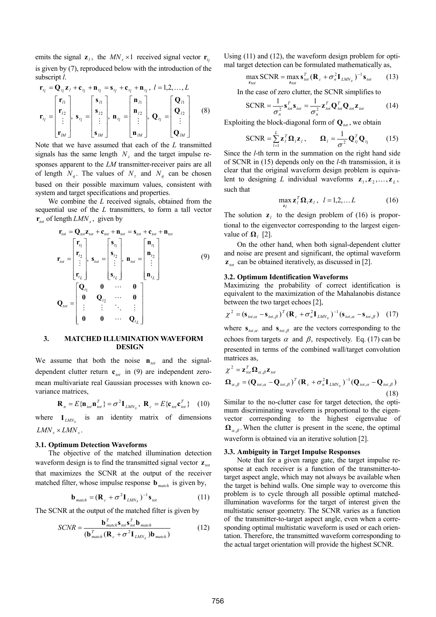emits the signal  $z_i$ , the  $MN_s \times 1$  received signal vector  $r_{ti}$ is given by (7), reproduced below with the introduction of the subscript *l*.

$$
\mathbf{r}_{t_l} = \mathbf{Q}_{t_l} \mathbf{z}_l + \mathbf{c}_{t_l} + \mathbf{n}_{t_l} = \mathbf{s}_{t_l} + \mathbf{c}_{t_l} + \mathbf{n}_{t_l}, \ l = 1, 2, \dots, L
$$
\n
$$
\mathbf{r}_{t_l} = \begin{bmatrix} \mathbf{r}_{l1} \\ \mathbf{r}_{l2} \\ \vdots \\ \mathbf{r}_{lM} \end{bmatrix}, \ \mathbf{s}_{t_l} = \begin{bmatrix} \mathbf{s}_{l1} \\ \mathbf{s}_{l2} \\ \vdots \\ \mathbf{s}_{lM} \end{bmatrix}, \ \mathbf{n}_{t_l} = \begin{bmatrix} \mathbf{n}_{l1} \\ \mathbf{n}_{l2} \\ \vdots \\ \mathbf{n}_{lM} \end{bmatrix}, \ \mathbf{Q}_{t_l} = \begin{bmatrix} \mathbf{Q}_{l1} \\ \mathbf{Q}_{l2} \\ \vdots \\ \mathbf{Q}_{lM} \end{bmatrix} \tag{8}
$$

Note that we have assumed that each of the *L* transmitted signals has the same length  $N_z$  and the target impulse responses apparent to the *LM* transmitter-receiver pairs are all of length  $N_a$ . The values of  $N_z$  and  $N_a$  can be chosen based on their possible maximum values, consistent with system and target specifications and properties.

We combine the *L* received signals, obtained from the sequential use of the *L* transmitters, to form a tall vector  $\mathbf{r}_{\text{tot}}$  of length  $LMN_s$ , given by

$$
\mathbf{r}_{tot} = \mathbf{Q}_{tot} \mathbf{z}_{tot} + \mathbf{c}_{tot} + \mathbf{n}_{tot} = \mathbf{s}_{tot} + \mathbf{c}_{tot} + \mathbf{n}_{tot}
$$
\n
$$
\mathbf{r}_{tot} = \begin{bmatrix} \mathbf{r}_{t_1} \\ \mathbf{r}_{t_2} \\ \vdots \\ \mathbf{r}_{t_L} \end{bmatrix}, \quad \mathbf{s}_{tot} = \begin{bmatrix} \mathbf{s}_{t_1} \\ \mathbf{s}_{t_2} \\ \vdots \\ \mathbf{s}_{t_L} \end{bmatrix}, \quad \mathbf{n}_{tot} = \begin{bmatrix} \mathbf{n}_{t_1} \\ \mathbf{n}_{t_2} \\ \vdots \\ \mathbf{n}_{t_L} \end{bmatrix}
$$
\n
$$
\mathbf{Q}_{tot} = \begin{bmatrix} \mathbf{Q}_{t_1} & \mathbf{0} & \cdots & \mathbf{0} \\ \mathbf{0} & \mathbf{Q}_{t_2} & \cdots & \mathbf{0} \\ \vdots & \vdots & \ddots & \vdots \\ \mathbf{0} & \mathbf{0} & \cdots & \mathbf{Q}_{t_L} \end{bmatrix}
$$
\n(9)

#### **3. MATCHED ILLUMINATION WAVEFORM DESIGN**

We assume that both the noise  $\mathbf{n}_{tot}$  and the signaldependent clutter return  $c_{tot}$  in (9) are independent zeromean multivariate real Gaussian processes with known covariance matrices,

$$
\mathbf{R}_n = E\{\mathbf{n}_{tot}\mathbf{n}_{tot}^T\} = \sigma^2 \mathbf{I}_{LMN_s}, \ \mathbf{R}_c = E\{\mathbf{c}_{tot}\mathbf{c}_{tot}^T\} \quad (10)
$$

where  $I_{LMNs}$  is an identity matrix of dimensions  $LMN_s \times LMN_s$ .

## **3.1. Optimum Detection Waveforms**

The objective of the matched illumination detection waveform design is to find the transmitted signal vector  $\mathbf{z}_{tot}$ that maximizes the SCNR at the output of the receiver matched filter, whose impulse response **b** *match* is given by,

$$
\mathbf{b}_{\text{match}} = (\mathbf{R}_c + \sigma^2 \mathbf{I}_{\text{LMN}_s})^{-1} \mathbf{s}_{\text{tot}}
$$
(11)

The SCNR at the output of the matched filter is given by

$$
SCNR = \frac{\mathbf{b}_{match}^T \mathbf{s}_{tot} \mathbf{s}_{tot}^T \mathbf{b}_{match}}{(\mathbf{b}_{match}^T (\mathbf{R}_c + \sigma^2 \mathbf{I}_{LMN_s}) \mathbf{b}_{match})}
$$
(12)

Using (11) and (12), the waveform design problem for optimal target detection can be formulated mathematically as,

$$
\max_{\mathbf{z}_{tot}} \text{SCNR} = \max_{\mathbf{z}_{tot}} \mathbf{s}_{tot}^T (\mathbf{R}_c + \sigma_n^2 \mathbf{I}_{LMN_s})^{-1} \mathbf{s}_{tot}
$$
 (13)

In the case of zero clutter, the SCNR simplifies to

$$
SCNR = \frac{1}{\sigma_n^2} \mathbf{s}_{\text{tot}}^T \mathbf{s}_{\text{tot}} = \frac{1}{\sigma_n^2} \mathbf{z}_{\text{tot}}^T \mathbf{Q}_{\text{tot}}^T \mathbf{Q}_{\text{tot}} \mathbf{z}_{\text{tot}}
$$
(14)

Exploiting the block-diagonal form of  $Q_{tot}$ , we obtain

$$
SCRR = \sum_{l=1}^{L} \mathbf{z}_l^T \mathbf{\Omega}_l \mathbf{z}_l, \qquad \mathbf{\Omega}_l = \frac{1}{\sigma^2} \mathbf{Q}_{l_l}^T \mathbf{Q}_{l_l}
$$
(15)

Since the *l*-th term in the summation on the right hand side of SCNR in (15) depends only on the *l*-th transmission, it is clear that the original waveform design problem is equivalent to designing *L* individual waveforms  $z_1, z_2, \ldots, z_L$ , such that

$$
\max_{\mathbf{z}_l} \mathbf{z}_l^T \mathbf{\Omega}_l \mathbf{z}_l, \quad l = 1, 2, \dots L \tag{16}
$$

The solution  $z_i$  to the design problem of (16) is proportional to the eigenvector corresponding to the largest eigenvalue of  $\Omega$ <sub>*l*</sub> [2].

On the other hand, when both signal-dependent clutter and noise are present and significant, the optimal waveform  $z_{tot}$  can be obtained iteratively, as discussed in [2].

#### **3.2. Optimum Identification Waveforms**

Maximizing the probability of correct identification is equivalent to the maximization of the Mahalanobis distance between the two target echoes [2],

$$
\chi^2 = (\mathbf{s}_{tot,a} - \mathbf{s}_{tot,\beta})^T (\mathbf{R}_c + \sigma_n^2 \mathbf{I}_{LMN_s})^{-1} (\mathbf{s}_{tot,a} - \mathbf{s}_{tot,\beta}) \quad (17)
$$

where  $\mathbf{s}_{tot,a}$  and  $\mathbf{s}_{tot,\beta}$  are the vectors corresponding to the echoes from targets  $\alpha$  and  $\beta$ , respectively. Eq. (17) can be presented in terms of the combined wall/target convolution matrices as,

$$
\chi^2 = \mathbf{z}_{tot}^T \mathbf{\Omega}_{\alpha,\beta} \mathbf{z}_{tot}
$$
  
\n
$$
\mathbf{\Omega}_{\alpha,\beta} = (\mathbf{Q}_{tot,\alpha} - \mathbf{Q}_{tot,\beta})^T (\mathbf{R}_c + \sigma_n^2 \mathbf{I}_{LMN_s})^{-1} (\mathbf{Q}_{tot,\alpha} - \mathbf{Q}_{tot,\beta})
$$
\n(18)

Similar to the no-clutter case for target detection, the optimum discriminating waveform is proportional to the eigenvector corresponding to the highest eigenvalue of  $\Omega_{\alpha,\beta}$ . When the clutter is present in the scene, the optimal waveform is obtained via an iterative solution [2].

#### **3.3. Ambiguity in Target Impulse Responses**

Note that for a given range gate, the target impulse response at each receiver is a function of the transmitter-totarget aspect angle, which may not always be available when the target is behind walls. One simple way to overcome this problem is to cycle through all possible optimal matchedillumination waveforms for the target of interest given the multistatic sensor geometry. The SCNR varies as a function of the transmitter-to-target aspect angle, even when a corresponding optimal multistatic waveform is used or each orientation. Therefore, the transmitted waveform corresponding to the actual target orientation will provide the highest SCNR.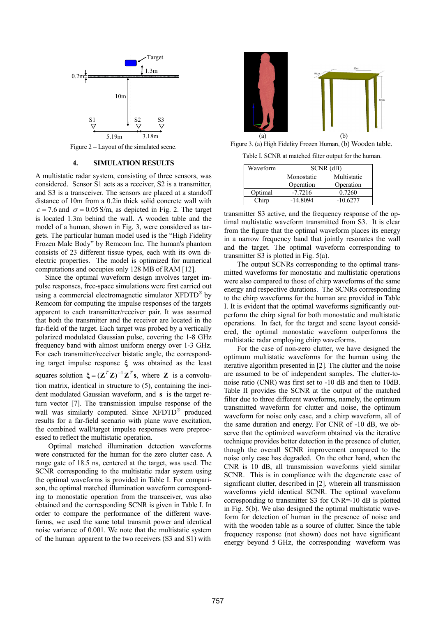

Figure 2 – Layout of the simulated scene.

#### **4. SIMULATION RESULTS**

A multistatic radar system, consisting of three sensors, was considered. Sensor S1 acts as a receiver, S2 is a transmitter, and S3 is a transceiver. The sensors are placed at a standoff distance of 10m from a 0.2in thick solid concrete wall with  $\epsilon$  = 7.6 and  $\sigma$  = 0.05 S/m, as depicted in Fig. 2. The target is located 1.3m behind the wall. A wooden table and the model of a human, shown in Fig. 3, were considered as targets. The particular human model used is the "High Fidelity Frozen Male Body" by Remcom Inc. The human's phantom consists of 23 different tissue types, each with its own dielectric properties. The model is optimized for numerical computations and occupies only 128 MB of RAM [12].

Since the optimal waveform design involves target impulse responses, free-space simulations were first carried out using a commercial electromagnetic simulator XFDTD® by Remcom for computing the impulse responses of the targets apparent to each transmitter/receiver pair. It was assumed that both the transmitter and the receiver are located in the far-field of the target. Each target was probed by a vertically polarized modulated Gaussian pulse, covering the 1-8 GHz frequency band with almost uniform energy over 1-3 GHz. For each transmitter/receiver bistatic angle, the corresponding target impulse response **ξ** was obtained as the least squares solution  $\xi = (\mathbf{Z}^T \mathbf{Z})^{-1} \mathbf{Z}^T \mathbf{s}$ , where **Z** is a convolution matrix, identical in structure to (5), containing the incident modulated Gaussian waveform, and **s** is the target return vector [7]. The transmission impulse response of the wall was similarly computed. Since XFDTD<sup>®</sup> produced results for a far-field scenario with plane wave excitation, the combined wall/target impulse responses were preprocessed to reflect the multistatic operation.

Optimal matched illumination detection waveforms were constructed for the human for the zero clutter case. A range gate of 18.5 ns, centered at the target, was used. The SCNR corresponding to the multistatic radar system using the optimal waveforms is provided in Table I. For comparison, the optimal matched illumination waveform corresponding to monostatic operation from the transceiver, was also obtained and the corresponding SCNR is given in Table I. In order to compare the performance of the different waveforms, we used the same total transmit power and identical noise variance of 0.001. We note that the multistatic system of the human apparent to the two receivers (S3 and S1) with



 Figure 3. (a) High Fidelity Frozen Human, (b) Wooden table. Table I. SCNR at matched filter output for the human.

| Waveform | $SCNR$ (dB) |             |  |
|----------|-------------|-------------|--|
|          | Monostatic  | Multistatic |  |
|          | Operation   | Operation   |  |
| Optimal  | $-77216$    | 0.7260      |  |

Chirp -14.8094 -10.6277

transmitter S3 active, and the frequency response of the optimal multistatic waveform transmitted from S3. It is clear from the figure that the optimal waveform places its energy in a narrow frequency band that jointly resonates the wall and the target. The optimal waveform corresponding to transmitter S3 is plotted in Fig. 5(a).

The output SCNRs corresponding to the optimal transmitted waveforms for monostatic and multistatic operations were also compared to those of chirp waveforms of the same energy and respective durations. The SCNRs corresponding to the chirp waveforms for the human are provided in Table I. It is evident that the optimal waveforms significantly outperform the chirp signal for both monostatic and multistatic operations. In fact, for the target and scene layout considered, the optimal monostatic waveform outperforms the multistatic radar employing chirp waveforms.

For the case of non-zero clutter, we have designed the optimum multistatic waveforms for the human using the iterative algorithm presented in [2]. The clutter and the noise are assumed to be of independent samples. The clutter-tonoise ratio (CNR) was first set to -10 dB and then to 10dB. Table II provides the SCNR at the output of the matched filter due to three different waveforms, namely, the optimum transmitted waveform for clutter and noise, the optimum waveform for noise only case, and a chirp waveform, all of the same duration and energy. For CNR of -10 dB, we observe that the optimized waveform obtained via the iterative technique provides better detection in the presence of clutter, though the overall SCNR improvement compared to the noise only case has degraded. On the other hand, when the CNR is 10 dB, all transmission waveforms yield similar SCNR. This is in compliance with the degenerate case of significant clutter, described in [2], wherein all transmission waveforms yield identical SCNR. The optimal waveform corresponding to transmitter S3 for CNR=-10 dB is plotted in Fig. 5(b). We also designed the optimal multistatic waveform for detection of human in the presence of noise and with the wooden table as a source of clutter. Since the table frequency response (not shown) does not have significant energy beyond 5 GHz, the corresponding waveform was